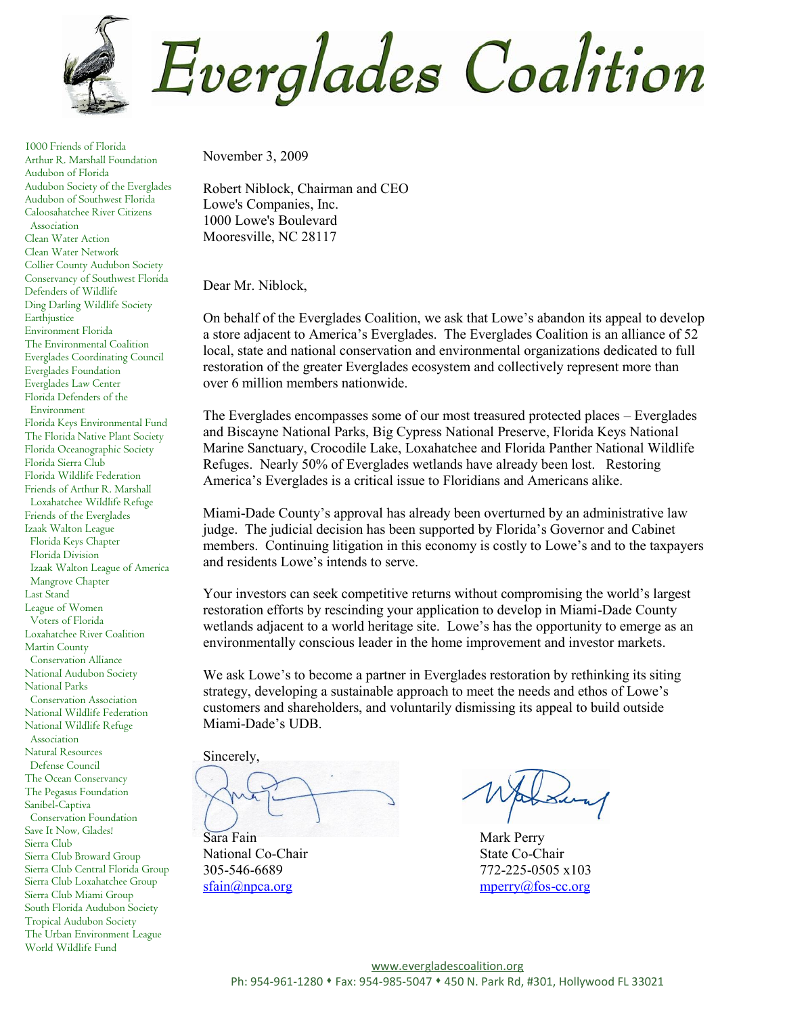**Everglades Coalition** 

1000 Friends of Florida Arthur R. Marshall Foundation Audubon of Florida Audubon Society of the Everglades Audubon of Southwest Florida Caloosahatchee River Citizens Association Clean Water Action Clean Water Network Collier County Audubon Society Conservancy of Southwest Florida Defenders of Wildlife Ding Darling Wildlife Society Earthjustice Environment Florida The Environmental Coalition Everglades Coordinating Council Everglades Foundation Everglades Law Center Florida Defenders of the Environment Florida Keys Environmental Fund The Florida Native Plant Society Florida Oceanographic Society Florida Sierra Club Florida Wildlife Federation Friends of Arthur R. Marshall Loxahatchee Wildlife Refuge Friends of the Everglades Izaak Walton League Florida Keys Chapter Florida Division Izaak Walton League of America Mangrove Chapter Last Stand League of Women Voters of Florida Loxahatchee River Coalition Martin County Conservation Alliance National Audubon Society National Parks Conservation Association National Wildlife Federation National Wildlife Refuge Association Natural Resources Defense Council The Ocean Conservancy The Pegasus Foundation Sanibel-Captiva Conservation Foundation Save It Now, Glades! Sierra Club Sierra Club Broward Group Sierra Club Central Florida Group Sierra Club Loxahatchee Group Sierra Club Miami Group South Florida Audubon Society Tropical Audubon Society The Urban Environment League World Wildlife Fund

November 3, 2009

Robert Niblock, Chairman and CEO Lowe's Companies, Inc. 1000 Lowe's Boulevard Mooresville, NC 28117

Dear Mr. Niblock,

On behalf of the Everglades Coalition, we ask that Lowe's abandon its appeal to develop a store adjacent to America's Everglades. The Everglades Coalition is an alliance of 52 local, state and national conservation and environmental organizations dedicated to full restoration of the greater Everglades ecosystem and collectively represent more than over 6 million members nationwide.

The Everglades encompasses some of our most treasured protected places – Everglades and Biscayne National Parks, Big Cypress National Preserve, Florida Keys National Marine Sanctuary, Crocodile Lake, Loxahatchee and Florida Panther National Wildlife Refuges. Nearly 50% of Everglades wetlands have already been lost. Restoring America's Everglades is a critical issue to Floridians and Americans alike.

Miami-Dade County's approval has already been overturned by an administrative law judge. The judicial decision has been supported by Florida's Governor and Cabinet members. Continuing litigation in this economy is costly to Lowe's and to the taxpayers and residents Lowe's intends to serve.

Your investors can seek competitive returns without compromising the world's largest restoration efforts by rescinding your application to develop in Miami-Dade County wetlands adjacent to a world heritage site. Lowe's has the opportunity to emerge as an environmentally conscious leader in the home improvement and investor markets.

We ask Lowe's to become a partner in Everglades restoration by rethinking its siting strategy, developing a sustainable approach to meet the needs and ethos of Lowe's customers and shareholders, and voluntarily dismissing its appeal to build outside Miami-Dade's UDB.

Sincerely,

Sara Fain Mark Perry

National Co-Chair State Co-Chair

305-546-6689 772-225-0505 x103 [sfain@npca.org](mailto:sfain@npca.org) [mperry@fos-cc.org](mailto:mperry@fos-cc.org)